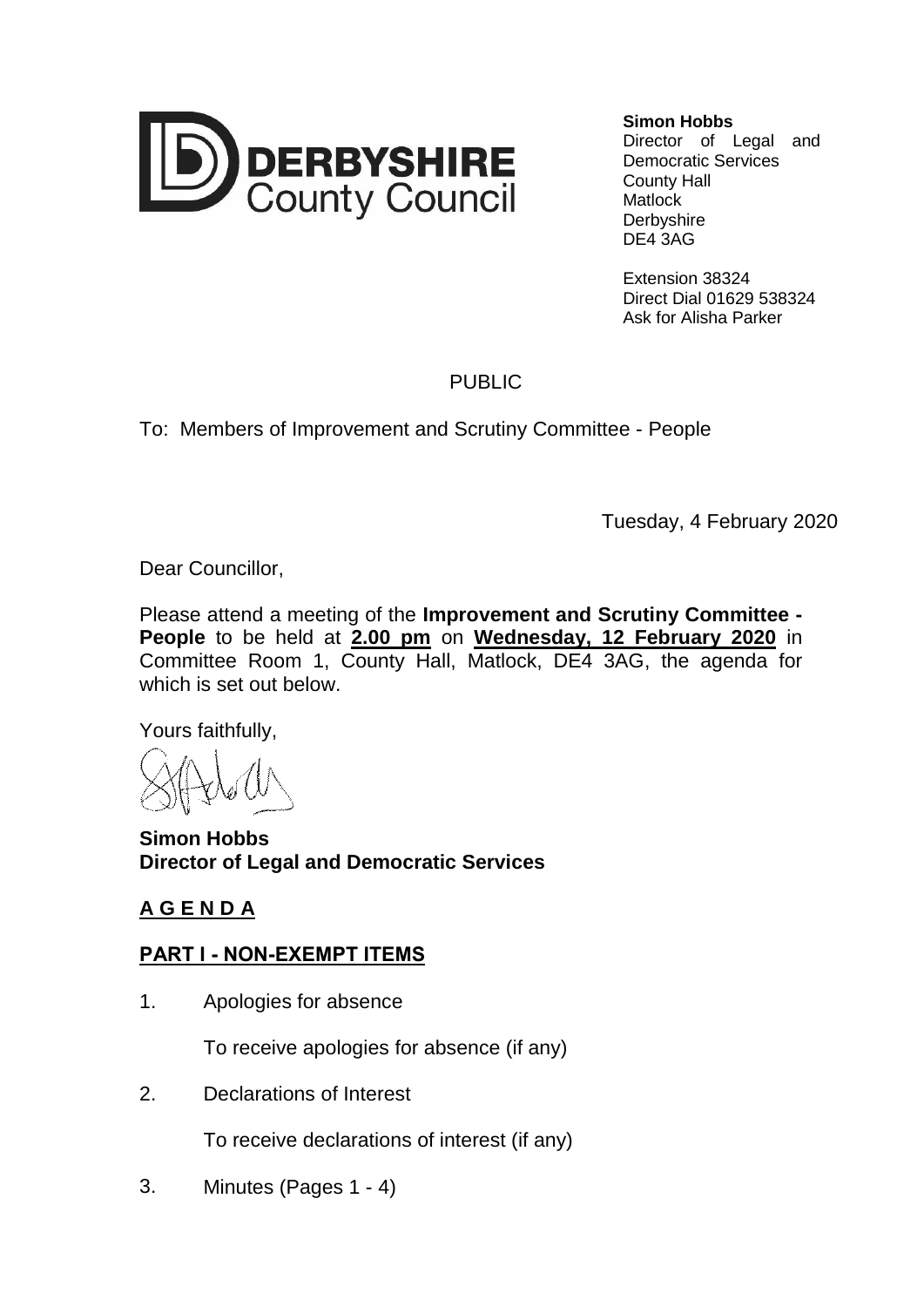

**Simon Hobbs**

Director of Legal and Democratic Services County Hall **Matlock Derbyshire** DE4 3AG

Extension 38324 Direct Dial 01629 538324 Ask for Alisha Parker

## PUBLIC

To: Members of Improvement and Scrutiny Committee - People

Tuesday, 4 February 2020

Dear Councillor,

Please attend a meeting of the **Improvement and Scrutiny Committee - People** to be held at **2.00 pm** on **Wednesday, 12 February 2020** in Committee Room 1, County Hall, Matlock, DE4 3AG, the agenda for which is set out below.

Yours faithfully,

**Simon Hobbs Director of Legal and Democratic Services**

## **A G E N D A**

## **PART I - NON-EXEMPT ITEMS**

1. Apologies for absence

To receive apologies for absence (if any)

2. Declarations of Interest

To receive declarations of interest (if any)

3. Minutes (Pages 1 - 4)